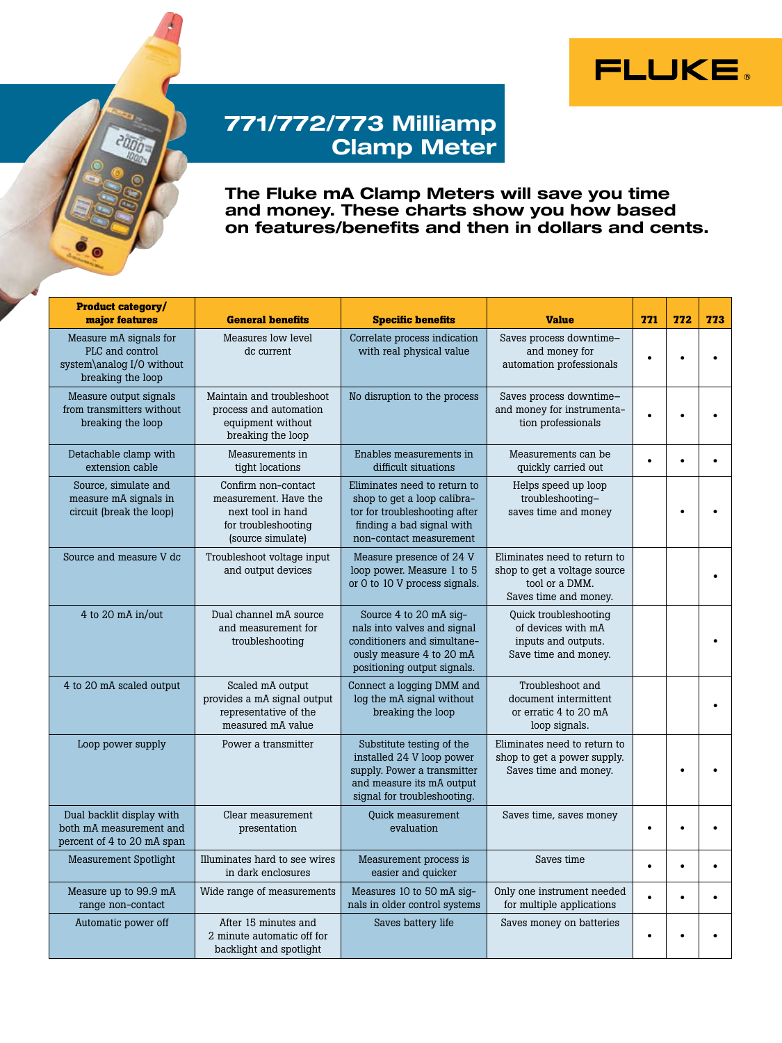



## 771/772/773 Milliamp Clamp Meter

The Fluke mA Clamp Meters will save you time and money. These charts show you how based on features/benefits and then in dollars and cents.

| <b>Product category/</b><br>major features                                                  | <b>General benefits</b>                                                                                       | <b>Specific benefits</b>                                                                                                                             | <b>Value</b>                                                                                            | 771       | 772       | 773       |
|---------------------------------------------------------------------------------------------|---------------------------------------------------------------------------------------------------------------|------------------------------------------------------------------------------------------------------------------------------------------------------|---------------------------------------------------------------------------------------------------------|-----------|-----------|-----------|
| Measure mA signals for<br>PLC and control<br>system\analog I/O without<br>breaking the loop | Measures low level<br>dc current                                                                              | Correlate process indication<br>with real physical value                                                                                             | Saves process downtime-<br>and money for<br>automation professionals                                    | $\bullet$ |           |           |
| Measure output signals<br>from transmitters without<br>breaking the loop                    | Maintain and troubleshoot<br>process and automation<br>equipment without<br>breaking the loop                 | No disruption to the process                                                                                                                         | Saves process downtime-<br>and money for instrumenta-<br>tion professionals                             | $\bullet$ |           |           |
| Detachable clamp with<br>extension cable                                                    | Measurements in<br>tight locations                                                                            | Enables measurements in<br>difficult situations                                                                                                      | Measurements can be<br>quickly carried out                                                              | $\bullet$ |           |           |
| Source, simulate and<br>measure mA signals in<br>circuit (break the loop)                   | Confirm non-contact<br>measurement. Have the<br>next tool in hand<br>for troubleshooting<br>(source simulate) | Eliminates need to return to<br>shop to get a loop calibra-<br>tor for troubleshooting after<br>finding a bad signal with<br>non-contact measurement | Helps speed up loop<br>troubleshooting-<br>saves time and money                                         |           |           |           |
| Source and measure V dc                                                                     | Troubleshoot voltage input<br>and output devices                                                              | Measure presence of 24 V<br>loop power. Measure 1 to 5<br>or 0 to 10 V process signals.                                                              | Eliminates need to return to<br>shop to get a voltage source<br>tool or a DMM.<br>Saves time and money. |           |           |           |
| 4 to 20 $mA$ in/out                                                                         | Dual channel mA source<br>and measurement for<br>troubleshooting                                              | Source 4 to 20 mA sig-<br>nals into valves and signal<br>conditioners and simultane-<br>ously measure 4 to 20 mA<br>positioning output signals.      | Quick troubleshooting<br>of devices with mA<br>inputs and outputs.<br>Save time and money.              |           |           |           |
| 4 to 20 mA scaled output                                                                    | Scaled mA output<br>provides a mA signal output<br>representative of the<br>measured mA value                 | Connect a logging DMM and<br>log the mA signal without<br>breaking the loop                                                                          | Troubleshoot and<br>document intermittent<br>or erratic 4 to 20 mA<br>loop signals.                     |           |           |           |
| Loop power supply                                                                           | Power a transmitter                                                                                           | Substitute testing of the<br>installed 24 V loop power<br>supply. Power a transmitter<br>and measure its mA output<br>signal for troubleshooting.    | Eliminates need to return to<br>shop to get a power supply.<br>Saves time and money.                    |           |           |           |
| Dual backlit display with<br>both mA measurement and<br>percent of 4 to 20 mA span          | Clear measurement<br>presentation                                                                             | <b>Quick measurement</b><br>evaluation                                                                                                               | Saves time, saves money                                                                                 | $\bullet$ |           |           |
| <b>Measurement Spotlight</b>                                                                | Illuminates hard to see wires<br>in dark enclosures                                                           | Measurement process is<br>easier and quicker                                                                                                         | Saves time                                                                                              | $\bullet$ | $\bullet$ | $\bullet$ |
| Measure up to 99.9 mA<br>range non-contact                                                  | Wide range of measurements                                                                                    | Measures 10 to 50 mA sig-<br>nals in older control systems                                                                                           | Only one instrument needed<br>for multiple applications                                                 | $\bullet$ |           |           |
| Automatic power off                                                                         | After 15 minutes and<br>2 minute automatic off for<br>backlight and spotlight                                 | Saves battery life                                                                                                                                   | Saves money on batteries                                                                                | $\bullet$ |           |           |